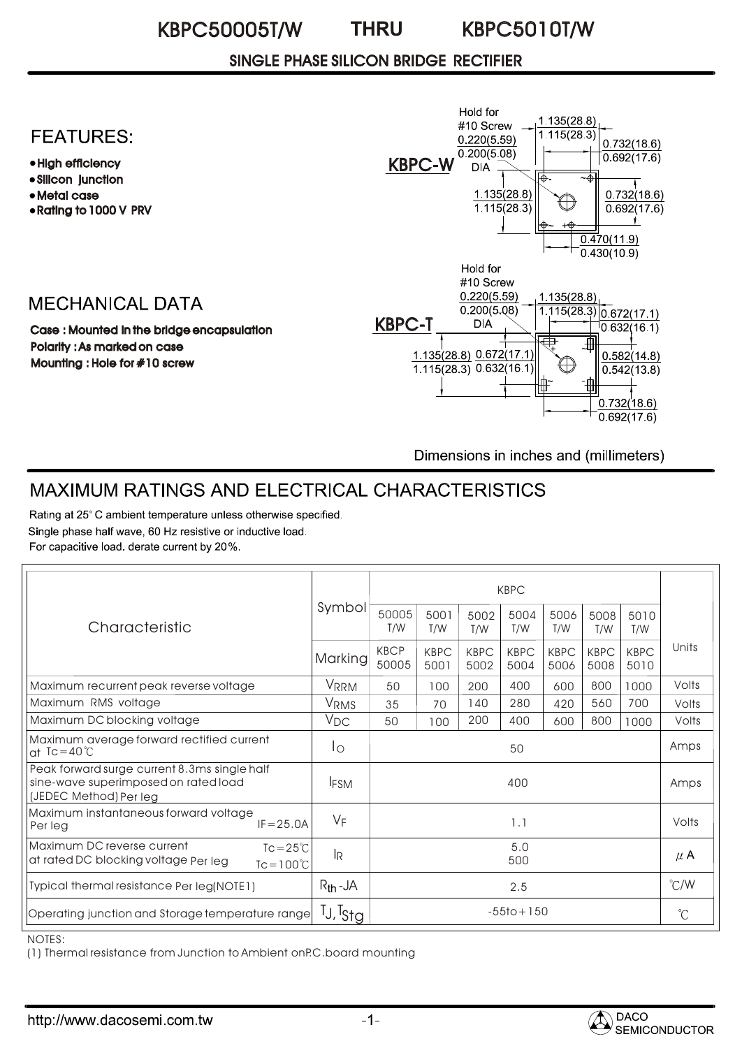#### KBPC50005T/W KBPC5010T/W **THRU**

### SINGLE PHASE SILICON BRIDGE RECTIFIER

## **FEATURES:**

- High efficiency
- Silicon junction
- Metal case
- Rating to 1000 V PRV

## **MECHANICAL DATA**

Case : Mounted in the bridge encapsulation Polarity : As marked on case Mounting : Hole for #10 screw



Dimensions in inches and (millimeters)

# MAXIMUM RATINGS AND ELECTRICAL CHARACTERISTICS

Rating at 25°C ambient temperature unless otherwise specified. Single phase half wave, 60 Hz resistive or inductive load. For capacitive load. derate current by 20%.

| Characteristic                                                                                                  | Symbol                           | <b>KBPC</b>          |                     |                     |                     |                     |                     |                     |               |
|-----------------------------------------------------------------------------------------------------------------|----------------------------------|----------------------|---------------------|---------------------|---------------------|---------------------|---------------------|---------------------|---------------|
|                                                                                                                 |                                  | 50005<br>T/W         | 5001<br>T/W         | 5002<br>T/W         | 5004<br>T/W         | 5006<br>T/W         | 5008<br>T/W         | 5010<br>T/W         |               |
|                                                                                                                 | Marking                          | <b>KBCP</b><br>50005 | <b>KBPC</b><br>5001 | <b>KBPC</b><br>5002 | <b>KBPC</b><br>5004 | <b>KBPC</b><br>5006 | <b>KBPC</b><br>5008 | <b>KBPC</b><br>5010 | Units         |
| Maximum recurrent peak reverse voltage                                                                          | VRRM                             | 50                   | 100                 | 200                 | 400                 | 600                 | 800                 | 1000                | Volts         |
| Maximum RMS voltage                                                                                             | <b>VRMS</b>                      | 35                   | 70                  | 140                 | 280                 | 420                 | 560                 | 700                 | Volts         |
| Maximum DC blocking voltage                                                                                     | $V_{DC}$                         | 50                   | 100                 | 200                 | 400                 | 600                 | 800                 | 1000                | Volts         |
| Maximum average forward rectified current<br>at $Tc = 40^{\circ}C$                                              | Ιo                               | 50                   |                     |                     |                     |                     |                     |                     | Amps          |
| Peak forward surge current 8.3ms single half<br>sine-wave superimposed on rated load<br>(JEDEC Method) Per leg  | <b>IFSM</b>                      | 400                  |                     |                     |                     |                     |                     |                     | Amps          |
| Maximum instantaneous forward voltage<br>$IF = 25.0A$<br>Per leg                                                | $V_F$                            | 1.1                  |                     |                     |                     |                     |                     |                     | Volts         |
| Maximum DC reverse current<br>$Tc = 25^{\circ}C$<br>at rated DC blocking voltage Per leg<br>$Tc = 100^{\circ}C$ | <sup>I</sup> R                   | 5.0<br>500           |                     |                     |                     |                     |                     |                     | $\mu$ A       |
| Typical thermal resistance Per leg(NOTE1)                                                                       | $R_{th}$ -JA                     | 2.5                  |                     |                     |                     |                     |                     |                     | $\degree$ C/W |
| Operating junction and Storage temperature range                                                                | <sup>T</sup> J, <sup>T</sup> Stg | $-55$ to + 150       |                     |                     |                     |                     |                     |                     | $^{\circ}C$   |

NOTES:

(1) Thermal resistance from Junction to Ambient onP.C.board mounting

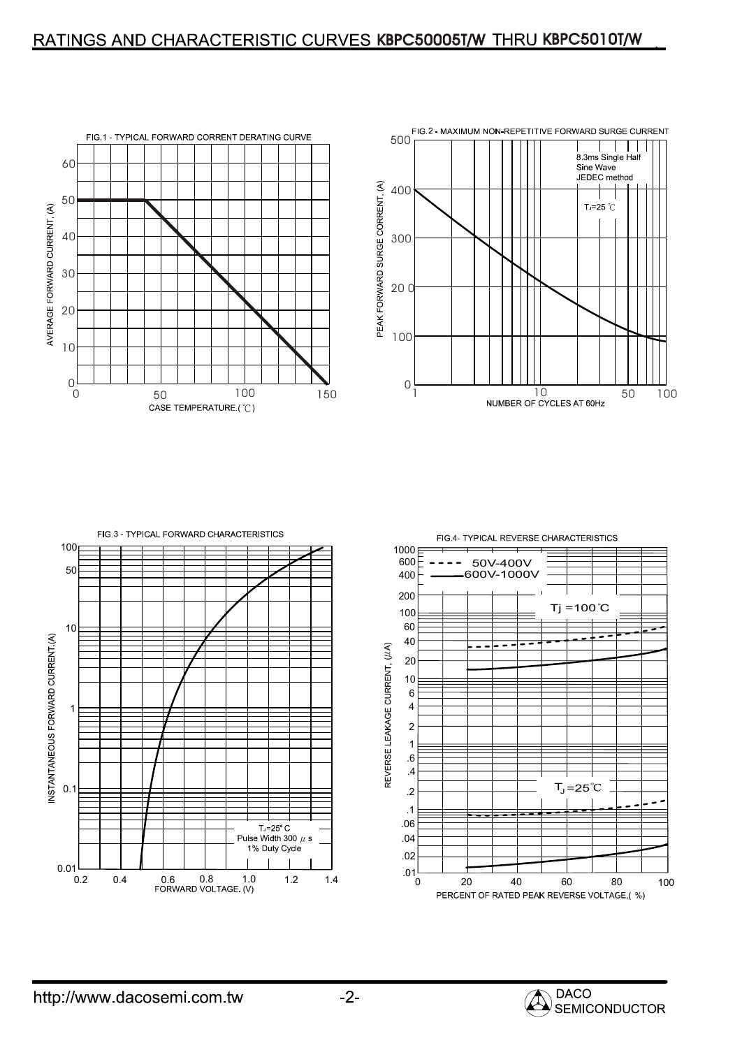## RATINGS AND CHARACTERISTIC CURVES KBPC50005T/W THRU KBPC5010T/W